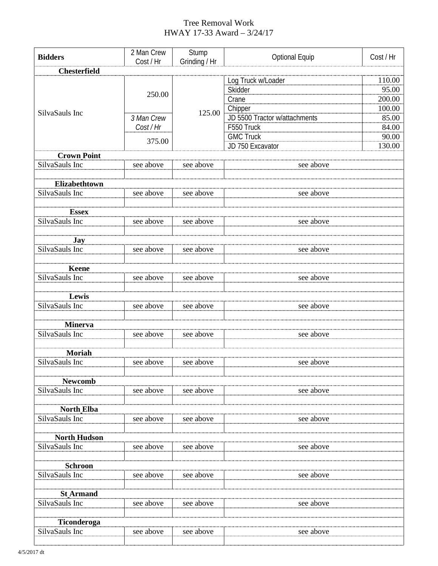## Tree Removal Work HWAY 17-33 Award – 3/24/17

| <b>Bidders</b>               | 2 Man Crew           | Stump         | <b>Optional Equip</b>                    | Cost / Hr        |  |  |
|------------------------------|----------------------|---------------|------------------------------------------|------------------|--|--|
|                              | Cost / Hr            | Grinding / Hr |                                          |                  |  |  |
| <b>Chesterfield</b>          |                      |               |                                          |                  |  |  |
| SilvaSauls Inc               |                      | 125.00        | Log Truck w/Loader                       | 110.00           |  |  |
|                              | 250.00<br>3 Man Crew |               | Skidder                                  | 95.00            |  |  |
|                              |                      |               | Crane                                    | 200.00<br>100.00 |  |  |
|                              |                      |               | Chipper<br>JD 5500 Tractor w/attachments | 85.00            |  |  |
|                              | Cost / Hr            |               | F550 Truck                               | 84.00            |  |  |
|                              | 375.00               |               | <b>GMC Truck</b>                         | 90.00            |  |  |
|                              |                      |               | JD 750 Excavator                         | 130.00           |  |  |
| <b>Crown Point</b>           |                      |               |                                          |                  |  |  |
| SilvaSauls Inc               | see above            | see above     | see above                                |                  |  |  |
|                              |                      |               |                                          |                  |  |  |
| Elizabethtown                |                      |               |                                          |                  |  |  |
| SilvaSauls Inc               | see above            | see above     | see above                                |                  |  |  |
|                              |                      |               |                                          |                  |  |  |
| <b>Essex</b>                 |                      |               |                                          |                  |  |  |
| SilvaSauls Inc               | see above            | see above     | see above                                |                  |  |  |
|                              |                      |               |                                          |                  |  |  |
| <b>Jay</b><br>SilvaSauls Inc |                      | see above     | see above                                |                  |  |  |
|                              | see above            |               |                                          |                  |  |  |
| <b>Keene</b>                 |                      |               |                                          |                  |  |  |
| SilvaSauls Inc               | see above            | see above     | see above                                |                  |  |  |
|                              |                      |               |                                          |                  |  |  |
| Lewis                        |                      |               |                                          |                  |  |  |
| SilvaSauls Inc               | see above            | see above     | see above                                |                  |  |  |
|                              |                      |               |                                          |                  |  |  |
| <b>Minerva</b>               |                      |               |                                          |                  |  |  |
| SilvaSauls Inc               | see above            | see above     | see above                                |                  |  |  |
|                              |                      |               |                                          |                  |  |  |
| <b>Moriah</b>                |                      |               |                                          |                  |  |  |
| SilvaSauls Inc               | see above            | see above     | see above                                |                  |  |  |
| <b>Newcomb</b>               |                      |               |                                          |                  |  |  |
| SilvaSauls Inc               | see above            | see above     | see above                                |                  |  |  |
|                              |                      |               |                                          |                  |  |  |
| <b>North Elba</b>            |                      |               |                                          |                  |  |  |
| SilvaSauls Inc               | see above            | see above     | see above                                |                  |  |  |
|                              |                      |               |                                          |                  |  |  |
| <b>North Hudson</b>          |                      |               |                                          |                  |  |  |
| SilvaSauls Inc               | see above            | see above     | see above                                |                  |  |  |
|                              |                      |               |                                          |                  |  |  |
| <b>Schroon</b>               |                      |               |                                          |                  |  |  |
| SilvaSauls Inc               | see above            | see above     | see above                                |                  |  |  |
| <b>St Armand</b>             |                      |               |                                          |                  |  |  |
| SilvaSauls Inc               | see above            | see above     | see above                                |                  |  |  |
|                              |                      |               |                                          |                  |  |  |
| Ticonderoga                  |                      |               |                                          |                  |  |  |
| SilvaSauls Inc               | see above            | see above     | see above                                |                  |  |  |
|                              |                      |               |                                          |                  |  |  |